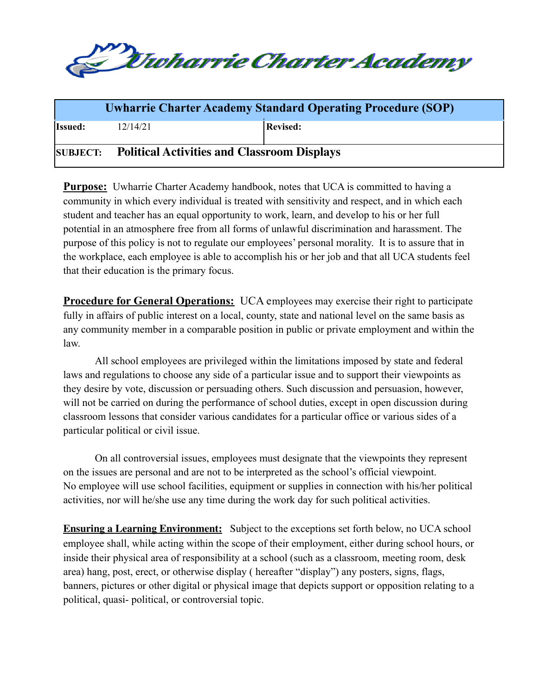

|                |                                                      | <b>Uwharrie Charter Academy Standard Operating Procedure (SOP)</b> |
|----------------|------------------------------------------------------|--------------------------------------------------------------------|
| <b>Issued:</b> | 12/14/21                                             | <b>Revised:</b>                                                    |
|                | SUBJECT: Political Activities and Classroom Displays |                                                                    |

**Purpose:** Uwharrie Charter Academy handbook, notes that UCA is committed to having a community in which every individual is treated with sensitivity and respect, and in which each student and teacher has an equal opportunity to work, learn, and develop to his or her full potential in an atmosphere free from all forms of unlawful discrimination and harassment. The purpose of this policy is not to regulate our employees' personal morality. It is to assure that in the workplace, each employee is able to accomplish his or her job and that all UCA students feel that their education is the primary focus.

**Procedure for General Operations:** UCA employees may exercise their right to participate fully in affairs of public interest on a local, county, state and national level on the same basis as any community member in a comparable position in public or private employment and within the law.

All school employees are privileged within the limitations imposed by state and federal laws and regulations to choose any side of a particular issue and to support their viewpoints as they desire by vote, discussion or persuading others. Such discussion and persuasion, however, will not be carried on during the performance of school duties, except in open discussion during classroom lessons that consider various candidates for a particular office or various sides of a particular political or civil issue.

On all controversial issues, employees must designate that the viewpoints they represent on the issues are personal and are not to be interpreted as the school's official viewpoint. No employee will use school facilities, equipment or supplies in connection with his/her political activities, nor will he/she use any time during the work day for such political activities.

**Ensuring a Learning Environment:** Subject to the exceptions set forth below, no UCA school employee shall, while acting within the scope of their employment, either during school hours, or inside their physical area of responsibility at a school (such as a classroom, meeting room, desk area) hang, post, erect, or otherwise display ( hereafter "display") any posters, signs, flags, banners, pictures or other digital or physical image that depicts support or opposition relating to a political, quasi- political, or controversial topic.